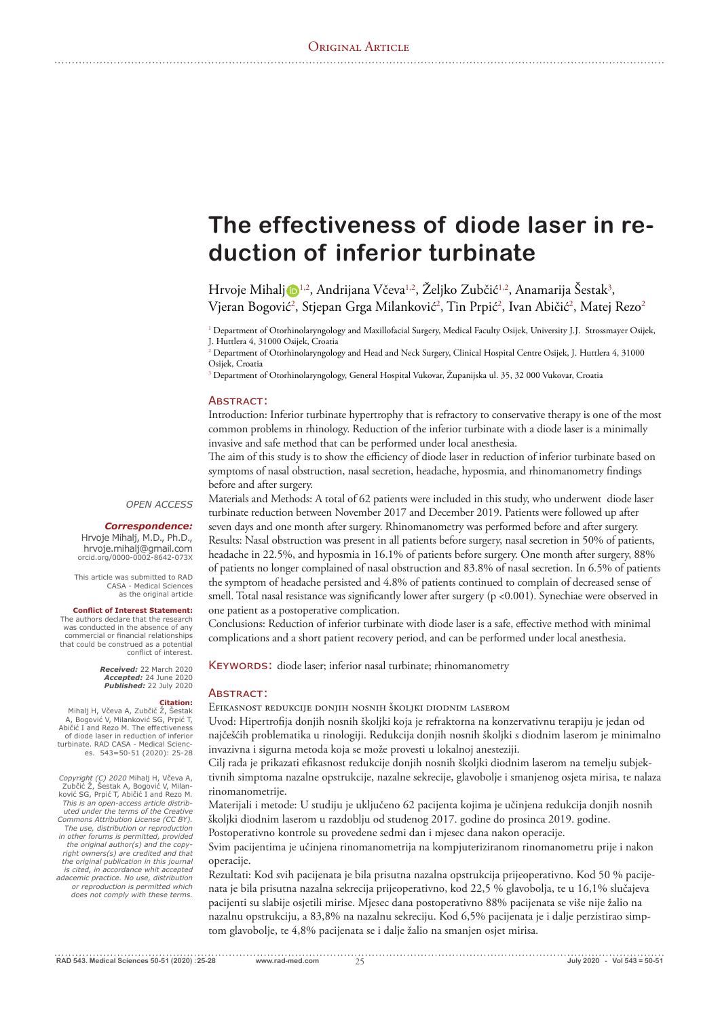# **The effectiveness of diode laser in reduction of inferior turbinate**

Hrvoje Mihalj D½, Andrijana Včeva½, Željko Zubčić½, Anamarija Šestak<sup>3</sup>, Vjeran Bogović<sup>2</sup>, Stjepan Grga Milanković<sup>2</sup>, Tin Prpić<sup>2</sup>, Ivan Abičić<sup>2</sup>, Matej Rezo<sup>2</sup>

<sup>1</sup> Department of Otorhinolaryngology and Maxillofacial Surgery, Medical Faculty Osijek, University J.J. Strossmayer Osijek, J. Huttlera 4, 31000 Osijek, Croatia

 $^2$  Department of Otorhinolaryngology and Head and Neck Surgery, Clinical Hospital Centre Osijek, J. Huttlera 4, 31000 Osijek, Croatia

<sup>3</sup> Department of Otorhinolaryngology, General Hospital Vukovar, Županijska ul. 35, 32 000 Vukovar, Croatia

#### **ABSTRACT:**

Introduction: Inferior turbinate hypertrophy that is refractory to conservative therapy is one of the most common problems in rhinology. Reduction of the inferior turbinate with a diode laser is a minimally invasive and safe method that can be performed under local anesthesia.

The aim of this study is to show the efficiency of diode laser in reduction of inferior turbinate based on symptoms of nasal obstruction, nasal secretion, headache, hyposmia, and rhinomanometry findings before and after surgery.

*OPEN ACCESS*

## *Correspondence:*

Hrvoje Mihalj, M.D., Ph.D., hrvoje.mihalj@gmail.com orcid.org/0000-0002-8642-073X

This article was submitted to RAD CASA - Medical Sciences<br>as the original article

#### **Conflict of Interest Statement:**

The authors declare that the research<br>was conducted in the absence of any commercial or financial relationships that could be construed as a potential conflict of interest.

> **Received:** 22 March 2020 **Accepted:** 24 June 2020<br>**Published:** 22 July 2020

**Citation:**<br>Mihalj H, Včeva A, Zubčić Ž, Šestak **A Bogović V, Milanković SG, Prpić T,** 

Abičić I and Rezo M. The effectiveness of diode laser in reduction of inferior<br>turbinate. RAD CASA - Medical Sciences.  $543=50-51$  (2020): 25-28

*Copyright (C) 2020 M*ihalj H, Včeva A,<br>Zubčić Ž, Šestak A, Bogović V, Milan-<br>ković SG, Prpić T, Abičić I and Rezo M. *This is an open-access article distrib-uted under the terms of the Creative Commons Attribution License (CC BY). The use, distribution or reproduction in other forums is permitted, provided the original author(s) and the copyright owners(s) are credited and that the original publication in this journal is cited, in accordance whit accepted adacemic practice. No use, distribution or reproduction is permitted which does not comply with these terms.* 

Materials and Methods: A total of 62 patients were included in this study, who underwent diode laser turbinate reduction between November 2017 and December 2019. Patients were followed up after seven days and one month after surgery. Rhinomanometry was performed before and after surgery. Results: Nasal obstruction was present in all patients before surgery, nasal secretion in 50% of patients, headache in 22.5%, and hyposmia in 16.1% of patients before surgery. One month after surgery, 88% of patients no longer complained of nasal obstruction and 83.8% of nasal secretion. In 6.5% of patients the symptom of headache persisted and 4.8% of patients continued to complain of decreased sense of smell. Total nasal resistance was significantly lower after surgery (p <0.001). Synechiae were observed in one patient as a postoperative complication.

Conclusions: Reduction of inferior turbinate with diode laser is a safe, effective method with minimal complications and a short patient recovery period, and can be performed under local anesthesia.

KEYWORDS: diode laser; inferior nasal turbinate; rhinomanometry

#### ΑΒΑΤΡΑΣΤΙ

Efikasnost redukcije donjih nosnih školjki diodnim laserom

Uvod: Hipertro'ja donjih nosnih školjki koja je refraktorna na konzervativnu terapiju je jedan od najčešćih problematika u rinologiji. Redukcija donjih nosnih školjki s diodnim laserom je minimalno invazivna i sigurna metoda koja se može provesti u lokalnoj anesteziji.

Cilj rada je prikazati efikasnost redukcije donjih nosnih školjki diodnim laserom na temelju subjektivnih simptoma nazalne opstrukcije, nazalne sekrecije, glavobolje i smanjenog osjeta mirisa, te nalaza rinomanometrije.

Materijali i metode: U studiju je uključeno 62 pacijenta kojima je učinjena redukcija donjih nosnih školjki diodnim laserom u razdoblju od studenog 2017. godine do prosinca 2019. godine.

Postoperativno kontrole su provedene sedmi dan i mjesec dana nakon operacije.

Svim pacijentima je učinjena rinomanometrija na kompjuteriziranom rinomanometru prije i nakon operacije.

Rezultati: Kod svih pacijenata je bila prisutna nazalna opstrukcija prijeoperativno. Kod 50 % pacijenata je bila prisutna nazalna sekrecija prijeoperativno, kod 22,5 % glavobolja, te u 16,1% slučajeva pacijenti su slabije osjetili mirise. Mjesec dana postoperativno 88% pacijenata se više nije žalio na nazalnu opstrukciju, a 83,8% na nazalnu sekreciju. Kod 6,5% pacijenata je i dalje perzistirao simptom glavobolje, te 4,8% pacijenata se i dalje žalio na smanjen osjet mirisa.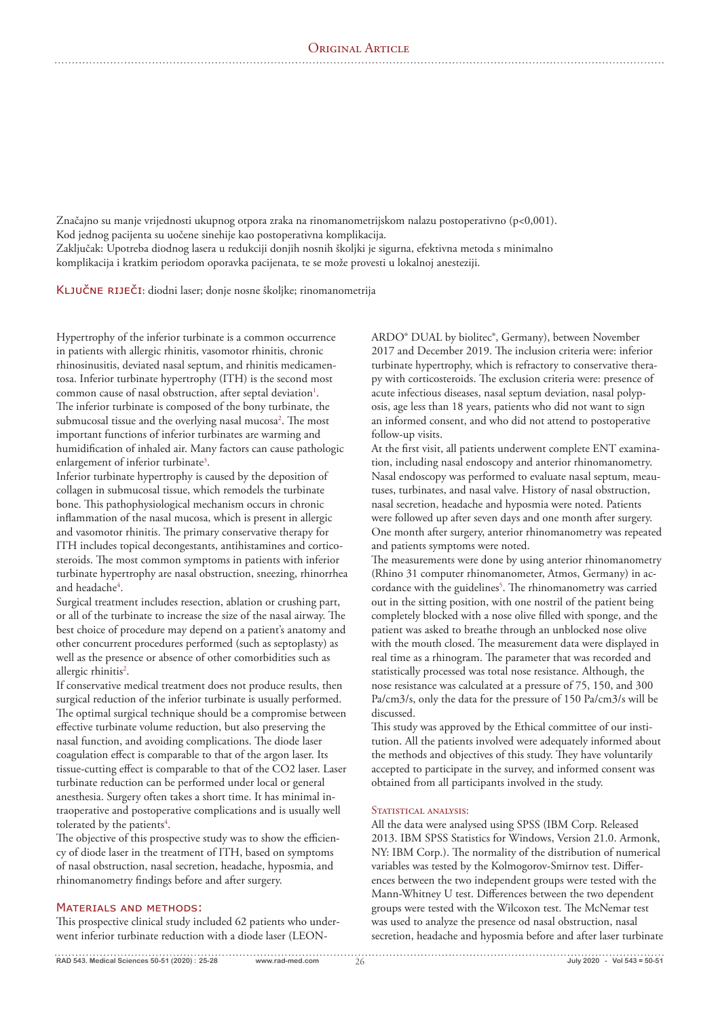Značajno su manje vrijednosti ukupnog otpora zraka na rinomanometrijskom nalazu postoperativno (p<0,001). Kod jednog pacijenta su uočene sinehije kao postoperativna komplikacija. Zaključak: Upotreba diodnog lasera u redukciji donjih nosnih školjki je sigurna, efektivna metoda s minimalno

komplikacija i kratkim periodom oporavka pacijenata, te se može provesti u lokalnoj anesteziji.

KLJUČNE RIJEČI: diodni laser; donje nosne školjke; rinomanometrija

Hypertrophy of the inferior turbinate is a common occurrence in patients with allergic rhinitis, vasomotor rhinitis, chronic rhinosinusitis, deviated nasal septum, and rhinitis medicamentosa. Inferior turbinate hypertrophy (ITH) is the second most common cause of nasal obstruction, after septal deviation<sup>1</sup>. The inferior turbinate is composed of the bony turbinate, the submucosal tissue and the overlying nasal mucosa<sup>2</sup>. The most important functions of inferior turbinates are warming and humidification of inhaled air. Many factors can cause pathologic enlargement of inferior turbinate<sup>3</sup>.

Inferior turbinate hypertrophy is caused by the deposition of collagen in submucosal tissue, which remodels the turbinate bone. This pathophysiological mechanism occurs in chronic inflammation of the nasal mucosa, which is present in allergic and vasomotor rhinitis. The primary conservative therapy for ITH includes topical decongestants, antihistamines and corticosteroids. The most common symptoms in patients with inferior turbinate hypertrophy are nasal obstruction, sneezing, rhinorrhea and headache<sup>4</sup>.

Surgical treatment includes resection, ablation or crushing part, or all of the turbinate to increase the size of the nasal airway. The best choice of procedure may depend on a patient's anatomy and other concurrent procedures performed (such as septoplasty) as well as the presence or absence of other comorbidities such as allergic rhinitis<sup>2</sup>.

If conservative medical treatment does not produce results, then surgical reduction of the inferior turbinate is usually performed. The optimal surgical technique should be a compromise between effective turbinate volume reduction, but also preserving the nasal function, and avoiding complications. The diode laser coagulation effect is comparable to that of the argon laser. Its tissue-cutting effect is comparable to that of the CO2 laser. Laser turbinate reduction can be performed under local or general anesthesia. Surgery often takes a short time. It has minimal intraoperative and postoperative complications and is usually well tolerated by the patients<sup>4</sup>.

The objective of this prospective study was to show the efficiency of diode laser in the treatment of ITH, based on symptoms of nasal obstruction, nasal secretion, headache, hyposmia, and rhinomanometry findings before and after surgery.

## MATERIALS AND METHODS:

This prospective clinical study included 62 patients who underwent inferior turbinate reduction with a diode laser (LEON-

ARDO® DUAL by biolitec®, Germany), between November 2017 and December 2019. The inclusion criteria were: inferior turbinate hypertrophy, which is refractory to conservative therapy with corticosteroids. The exclusion criteria were: presence of acute infectious diseases, nasal septum deviation, nasal polyposis, age less than 18 years, patients who did not want to sign an informed consent, and who did not attend to postoperative follow-up visits.

At the first visit, all patients underwent complete ENT examination, including nasal endoscopy and anterior rhinomanometry. Nasal endoscopy was performed to evaluate nasal septum, meautuses, turbinates, and nasal valve. History of nasal obstruction, nasal secretion, headache and hyposmia were noted. Patients were followed up after seven days and one month after surgery. One month after surgery, anterior rhinomanometry was repeated and patients symptoms were noted.

The measurements were done by using anterior rhinomanometry (Rhino 31 computer rhinomanometer, Atmos, Germany) in accordance with the guidelines<sup>5</sup>. The rhinomanometry was carried out in the sitting position, with one nostril of the patient being completely blocked with a nose olive filled with sponge, and the patient was asked to breathe through an unblocked nose olive with the mouth closed. The measurement data were displayed in real time as a rhinogram. The parameter that was recorded and statistically processed was total nose resistance. Although, the nose resistance was calculated at a pressure of 75, 150, and 300 Pa/cm3/s, only the data for the pressure of 150 Pa/cm3/s will be discussed.

This study was approved by the Ethical committee of our institution. All the patients involved were adequately informed about the methods and objectives of this study. They have voluntarily accepted to participate in the survey, and informed consent was obtained from all participants involved in the study.

#### STATISTICAL ANALYSIS:

All the data were analysed using SPSS (IBM Corp. Released 2013. IBM SPSS Statistics for Windows, Version 21.0. Armonk, NY: IBM Corp.). The normality of the distribution of numerical variables was tested by the Kolmogorov-Smirnov test. Differences between the two independent groups were tested with the Mann-Whitney U test. Differences between the two dependent groups were tested with the Wilcoxon test. The McNemar test was used to analyze the presence od nasal obstruction, nasal secretion, headache and hyposmia before and after laser turbinate

**RAD 543. Medical Sciences 50-51 (2020) : 25-28** www.rad-med.com 26 **July 2020** - Vol 543 = 50-51 **Duly 2020** - Vol 543 = 50-51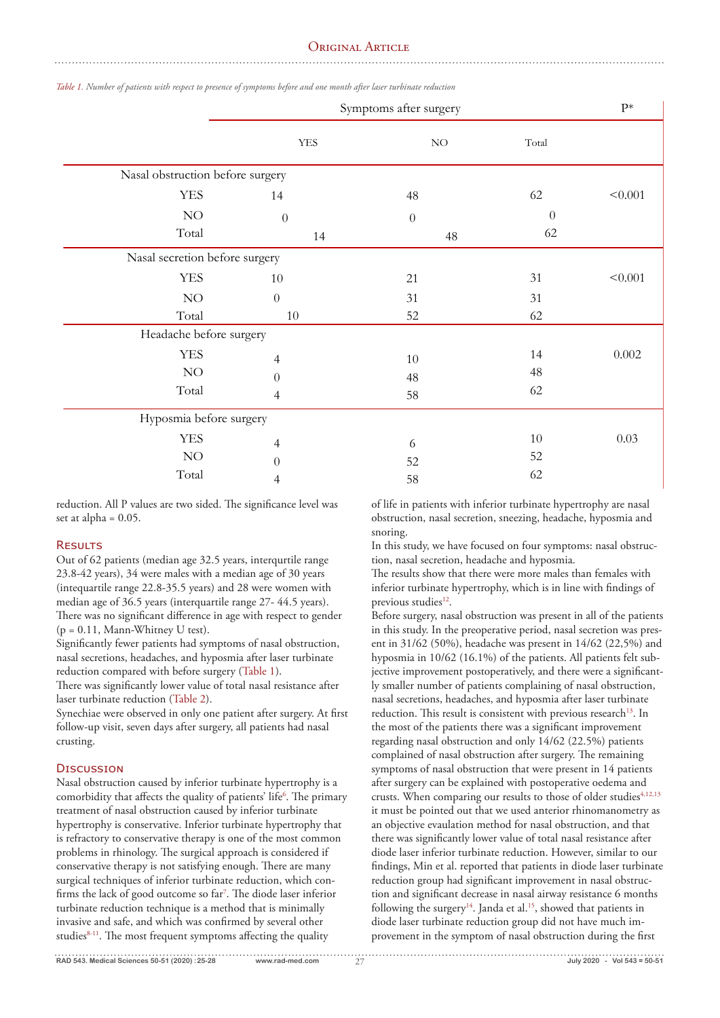# ORIGINAL ARTICLE

|                                  | Symptoms after surgery |                  |          |         |  |
|----------------------------------|------------------------|------------------|----------|---------|--|
|                                  | ${\it YES}$            | $\rm NO$         | Total    |         |  |
| Nasal obstruction before surgery |                        |                  |          |         |  |
| <b>YES</b>                       | 14                     | 48               | 62       | < 0.001 |  |
| $\rm NO$                         | $\theta$               | $\boldsymbol{0}$ | $\theta$ |         |  |
| Total                            | 14                     | 48               | 62       |         |  |
| Nasal secretion before surgery   |                        |                  |          |         |  |
| <b>YES</b>                       | $10\,$                 | 21               | 31       | < 0.001 |  |
| $\rm NO$                         | $\theta$               | 31               | 31       |         |  |
| Total                            | $10\,$                 | 52               | 62       |         |  |
| Headache before surgery          |                        |                  |          |         |  |
| <b>YES</b>                       | 4                      | $10\,$           | 14       | 0.002   |  |
| $\rm NO$                         | $\theta$               | 48               | 48       |         |  |
| Total                            | 4                      | 58               | 62       |         |  |
| Hyposmia before surgery          |                        |                  |          |         |  |
| <b>YES</b>                       | $\overline{4}$         | 6                | 10       | 0.03    |  |
| $\rm NO$                         | $\boldsymbol{0}$       | 52               | 52       |         |  |
| Total                            | 4                      | 58               | 62       |         |  |

*Table 1. Number of patients with respect to presence of symptoms before and one month after laser turbinate reduction*

reduction. All P values are two sided. The significance level was set at alpha  $= 0.05$ .

#### RESULTS

Out of 62 patients (median age 32.5 years, interqurtile range 23.8-42 years), 34 were males with a median age of 30 years (intequartile range 22.8-35.5 years) and 28 were women with median age of 36.5 years (interquartile range 27- 44.5 years). There was no significant difference in age with respect to gender  $(p = 0.11,$  Mann-Whitney U test).

Significantly fewer patients had symptoms of nasal obstruction, nasal secretions, headaches, and hyposmia after laser turbinate reduction compared with before surgery (Table 1).

There was significantly lower value of total nasal resistance after laser turbinate reduction (Table 2).

Synechiae were observed in only one patient after surgery. At first follow-up visit, seven days after surgery, all patients had nasal crusting.

# DISCUSSION

Nasal obstruction caused by inferior turbinate hypertrophy is a comorbidity that affects the quality of patients' life<sup>6</sup>. The primary treatment of nasal obstruction caused by inferior turbinate hypertrophy is conservative. Inferior turbinate hypertrophy that is refractory to conservative therapy is one of the most common problems in rhinology. The surgical approach is considered if conservative therapy is not satisfying enough. There are many surgical techniques of inferior turbinate reduction, which con firms the lack of good outcome so far<sup>7</sup>. The diode laser inferior turbinate reduction technique is a method that is minimally invasive and safe, and which was confirmed by several other studies<sup>8-11</sup>. The most frequent symptoms affecting the quality

of life in patients with inferior turbinate hypertrophy are nasal obstruction, nasal secretion, sneezing, headache, hyposmia and snoring.

In this study, we have focused on four symptoms: nasal obstruction, nasal secretion, headache and hyposmia.

The results show that there were more males than females with inferior turbinate hypertrophy, which is in line with findings of previous studies<sup>12</sup>.

Before surgery, nasal obstruction was present in all of the patients in this study. In the preoperative period, nasal secretion was present in 31/62 (50%), headache was present in 14/62 (22,5%) and hyposmia in 10/62 (16.1%) of the patients. All patients felt subjective improvement postoperatively, and there were a significantly smaller number of patients complaining of nasal obstruction, nasal secretions, headaches, and hyposmia after laser turbinate reduction. This result is consistent with previous research<sup>13</sup>. In the most of the patients there was a significant improvement regarding nasal obstruction and only 14/62 (22.5%) patients complained of nasal obstruction after surgery. The remaining symptoms of nasal obstruction that were present in 14 patients after surgery can be explained with postoperative oedema and crusts. When comparing our results to those of older studies<sup>4,12,13</sup> it must be pointed out that we used anterior rhinomanometry as an objective evaulation method for nasal obstruction, and that there was significantly lower value of total nasal resistance after diode laser inferior turbinate reduction. However, similar to our findings, Min et al. reported that patients in diode laser turbinate reduction group had significant improvement in nasal obstruction and significant decrease in nasal airway resistance 6 months following the surgery<sup>14</sup>. Janda et al.<sup>15</sup>, showed that patients in diode laser turbinate reduction group did not have much improvement in the symptom of nasal obstruction during the first